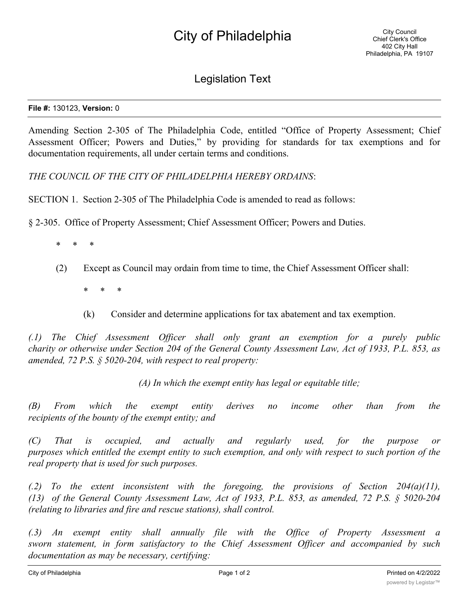## Legislation Text

## **File #:** 130123, **Version:** 0

Amending Section 2-305 of The Philadelphia Code, entitled "Office of Property Assessment; Chief Assessment Officer; Powers and Duties," by providing for standards for tax exemptions and for documentation requirements, all under certain terms and conditions.

*THE COUNCIL OF THE CITY OF PHILADELPHIA HEREBY ORDAINS*:

SECTION 1. Section 2-305 of The Philadelphia Code is amended to read as follows:

§ 2-305. Office of Property Assessment; Chief Assessment Officer; Powers and Duties.

- \* \* \*
- (2) Except as Council may ordain from time to time, the Chief Assessment Officer shall:
	- \* \* \*
	- (k) Consider and determine applications for tax abatement and tax exemption.

*(.1) The Chief Assessment Officer shall only grant an exemption for a purely public* charity or otherwise under Section 204 of the General County Assessment Law, Act of 1933, P.L. 853, as *amended, 72 P.S. § 5020-204, with respect to real property:*

*(A) In which the exempt entity has legal or equitable title;*

*(B) From which the exempt entity derives no income other than from the recipients of the bounty of the exempt entity; and*

*(C) That is occupied, and actually and regularly used, for the purpose or* purposes which entitled the exempt entity to such exemption, and only with respect to such portion of the *real property that is used for such purposes.*

*(.2) To the extent inconsistent with the foregoing, the provisions of Section 204(a)(11), (13) of the General County Assessment Law, Act of 1933, P.L. 853, as amended, 72 P.S. § 5020-204 (relating to libraries and fire and rescue stations), shall control.*

*(.3) An exempt entity shall annually file with the Office of Property Assessment a sworn statement, in form satisfactory to the Chief Assessment Officer and accompanied by such documentation as may be necessary, certifying:*